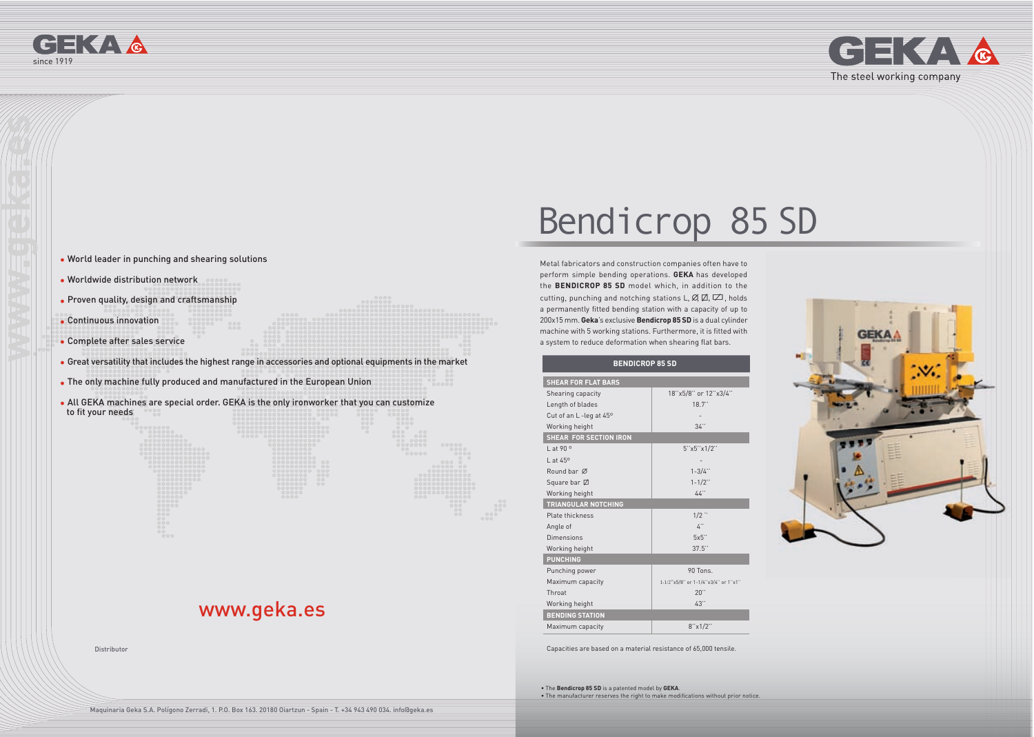



# www.geka.es

- World leader in punching and shearing solutions
- Worldwide distribution network
- Proven quality, design and craftsmanship
- Continuous innovation
- Complete after sales service
- Great versatility that includes the highest range in accessories and optional equipments in the market
- The only machine fully produced and manufactured in the European Union
- All GEKA machines are special order. GEKA is the only ironworker that you can customize to fit your needs

Metal fabricators and construction companies often have to perform simple bending operations. **GEKA** has developed the **BENDICROP 85 SD** model which, in addition to the cutting, punching and notching stations L,  $\emptyset$ ,  $\emptyset$ ,  $\emptyset$ , holds a permanently fitted bending station with a capacity of up to 200x15 mm. **Geka**'s exclusive **Bendicrop 85 SD** is a dual cylinder machine with 5 working stations. Furthermore, it is fitted with a system to reduce deformation when shearing flat bars.

• The **Bendicrop 85 SD** is a patented model by **GEKA**. • The manufacturer reserves the right to make modifications without prior notice.

Distributor

# Bendicrop 85 SD



| <b>BENDICROP 85 SD</b>          |                                     |
|---------------------------------|-------------------------------------|
| <b>SHEAR FOR FLAT BARS</b>      |                                     |
| Shearing capacity               | 18"x5/8" or 12"x3/4"                |
| Length of blades                | 18.7"                               |
| Cut of an L-leg at $45^{\circ}$ |                                     |
| Working height                  | 34"                                 |
| <b>SHEAR FOR SECTION IRON</b>   |                                     |
| $1$ at 90 $^{\circ}$            | 5''x5''x1/2''                       |
| $1$ at $45^\circ$               |                                     |
| Round bar Ø                     | $1 - 3/4$ "                         |
| Square bar Ø                    | $1 - 1/2$ "                         |
| Working height                  | 44"                                 |
| <b>TRIANGULAR NOTCHING</b>      |                                     |
| Plate thickness                 | $1/2$ $\cdot$                       |
| Angle of                        | $\mathcal{L}^{\prime\prime}$        |
| Dimensions                      | 5x5                                 |
| Working height                  | 37.5"                               |
| <b>PUNCHING</b>                 |                                     |
| Punching power                  | $90$ Tons                           |
| Maximum capacity                | 1-1/2"x5/8" or 1-1/4"x3/4" or 1"x1" |
| Throat                          | 20"                                 |
| Working height                  | 43"                                 |
| <b>BENDING STATION</b>          |                                     |
| Maximum capacity                | 8''x1/2"                            |

Capacities are based on a material resistance of 65,000 tensile.